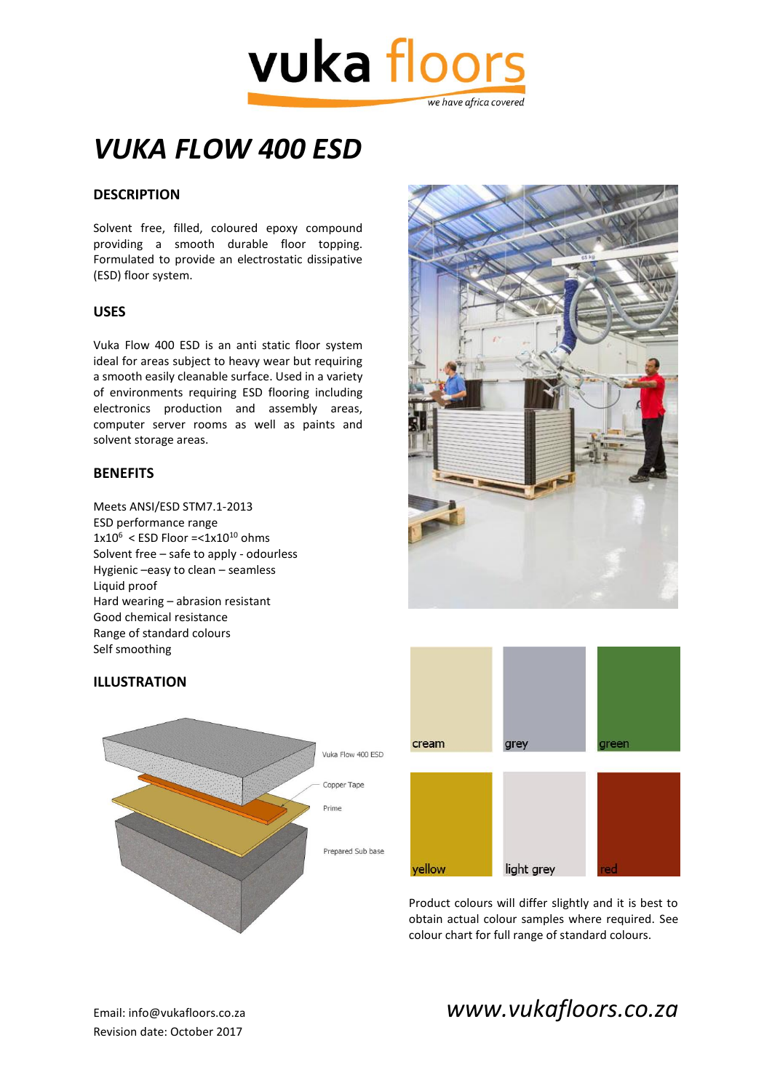

# *VUKA FLOW 400 ESD*

## **DESCRIPTION**

Solvent free, filled, coloured epoxy compound providing a smooth durable floor topping. Formulated to provide an electrostatic dissipative (ESD) floor system.

#### **USES**

Vuka Flow 400 ESD is an anti static floor system ideal for areas subject to heavy wear but requiring a smooth easily cleanable surface. Used in a variety of environments requiring ESD flooring including electronics production and assembly areas, computer server rooms as well as paints and solvent storage areas.

#### **BENEFITS**

Meets ANSI/ESD STM7.1-2013 ESD performance range  $1x10^6$  < ESD Floor = <  $1x10^{10}$  ohms Solvent free – safe to apply - odourless Hygienic –easy to clean – seamless Liquid proof Hard wearing – abrasion resistant Good chemical resistance Range of standard colours Self smoothing









Product colours will differ slightly and it is best to obtain actual colour samples where required. See colour chart for full range of standard colours.

Email: info@vukafloors.co.za *www.vukafloors.co.za*

Revision date: October 2017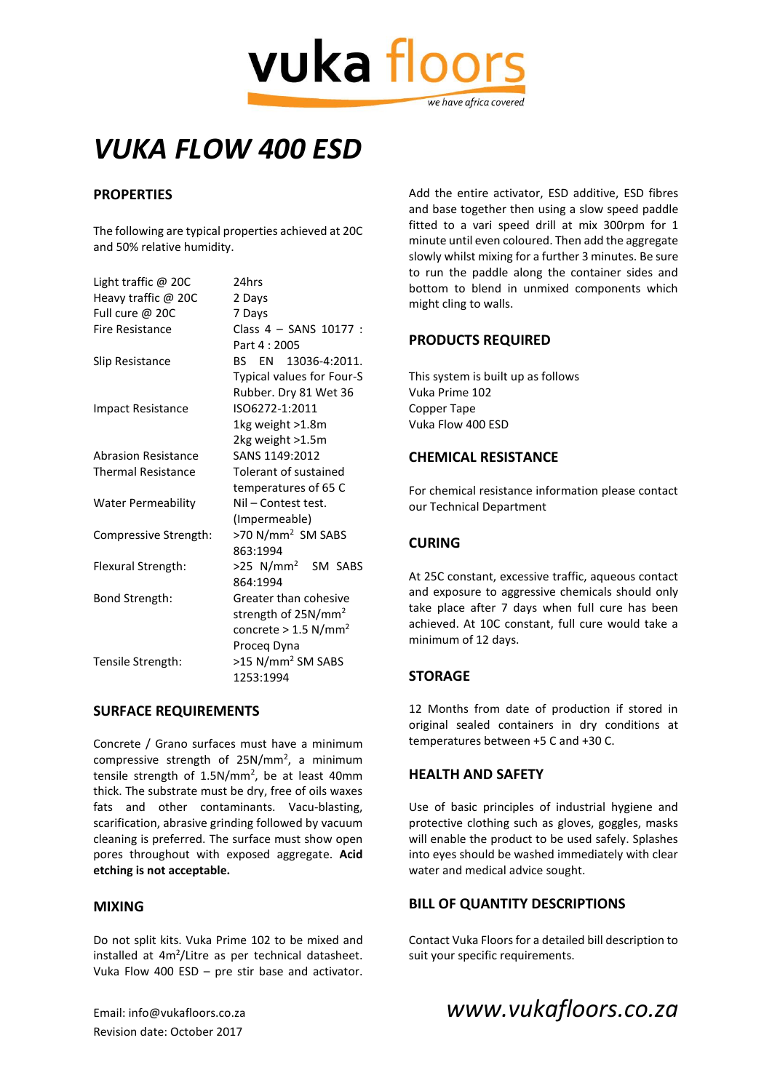

# *VUKA FLOW 400 ESD*

### **PROPERTIES**

The following are typical properties achieved at 20C and 50% relative humidity.

| Light traffic $@$ 20C      | 24hrs                              |
|----------------------------|------------------------------------|
| Heavy traffic @ 20C        | 2 Days                             |
| Full cure @ 20C            | 7 Days                             |
| Fire Resistance            | Class 4 - SANS 10177 :             |
|                            | Part 4:2005                        |
| Slip Resistance            | BS EN 13036-4:2011.                |
|                            | Typical values for Four-S          |
|                            | Rubber. Dry 81 Wet 36              |
| <b>Impact Resistance</b>   | ISO6272-1:2011                     |
|                            | 1kg weight >1.8m                   |
|                            | 2kg weight >1.5m                   |
| <b>Abrasion Resistance</b> | SANS 1149:2012                     |
| <b>Thermal Resistance</b>  | Tolerant of sustained              |
|                            | temperatures of 65 C               |
| <b>Water Permeability</b>  | Nil - Contest test.                |
|                            | (Impermeable)                      |
| Compressive Strength:      | >70 N/mm <sup>2</sup> SM SABS      |
|                            | 863:1994                           |
| Flexural Strength:         | >25 N/mm <sup>2</sup> SM SABS      |
|                            | 864:1994                           |
| Bond Strength:             | Greater than cohesive              |
|                            | strength of 25N/mm <sup>2</sup>    |
|                            | concrete $> 1.5$ N/mm <sup>2</sup> |
|                            | Proceg Dyna                        |
| Tensile Strength:          | >15 N/mm <sup>2</sup> SM SABS      |
|                            | 1253:1994                          |

#### **SURFACE REQUIREMENTS**

Concrete / Grano surfaces must have a minimum compressive strength of  $25N/mm^2$ , a minimum tensile strength of 1.5N/mm<sup>2</sup>, be at least 40mm thick. The substrate must be dry, free of oils waxes fats and other contaminants. Vacu-blasting, scarification, abrasive grinding followed by vacuum cleaning is preferred. The surface must show open pores throughout with exposed aggregate. **Acid etching is not acceptable.**

#### **MIXING**

Do not split kits. Vuka Prime 102 to be mixed and installed at 4m<sup>2</sup>/Litre as per technical datasheet. Vuka Flow 400 ESD – pre stir base and activator.

Revision date: October 2017

Add the entire activator, ESD additive, ESD fibres and base together then using a slow speed paddle fitted to a vari speed drill at mix 300rpm for 1 minute until even coloured. Then add the aggregate slowly whilst mixing for a further 3 minutes. Be sure to run the paddle along the container sides and bottom to blend in unmixed components which might cling to walls.

#### **PRODUCTS REQUIRED**

This system is built up as follows Vuka Prime 102 Copper Tape Vuka Flow 400 ESD

#### **CHEMICAL RESISTANCE**

For chemical resistance information please contact our Technical Department

#### **CURING**

At 25C constant, excessive traffic, aqueous contact and exposure to aggressive chemicals should only take place after 7 days when full cure has been achieved. At 10C constant, full cure would take a minimum of 12 days.

### **STORAGE**

12 Months from date of production if stored in original sealed containers in dry conditions at temperatures between +5 C and +30 C.

#### **HEALTH AND SAFETY**

Use of basic principles of industrial hygiene and protective clothing such as gloves, goggles, masks will enable the product to be used safely. Splashes into eyes should be washed immediately with clear water and medical advice sought.

### **BILL OF QUANTITY DESCRIPTIONS**

Contact Vuka Floors for a detailed bill description to suit your specific requirements.

# Email: info@vukafloors.co.za *www.vukafloors.co.za*